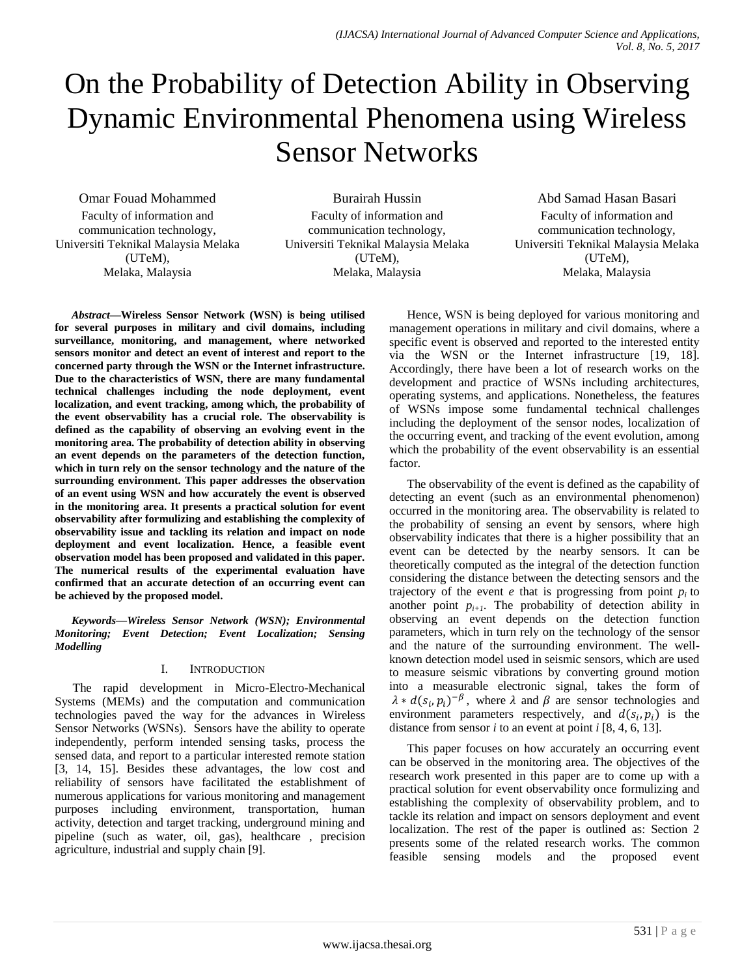# On the Probability of Detection Ability in Observing Dynamic Environmental Phenomena using Wireless Sensor Networks

Omar Fouad Mohammed Faculty of information and communication technology, Universiti Teknikal Malaysia Melaka (UTeM), Melaka, Malaysia

Burairah Hussin Faculty of information and communication technology, Universiti Teknikal Malaysia Melaka (UTeM), Melaka, Malaysia

Abd Samad Hasan Basari Faculty of information and communication technology, Universiti Teknikal Malaysia Melaka (UTeM), Melaka, Malaysia

*Abstract***—Wireless Sensor Network (WSN) is being utilised for several purposes in military and civil domains, including surveillance, monitoring, and management, where networked sensors monitor and detect an event of interest and report to the concerned party through the WSN or the Internet infrastructure. Due to the characteristics of WSN, there are many fundamental technical challenges including the node deployment, event localization, and event tracking, among which, the probability of the event observability has a crucial role. The observability is defined as the capability of observing an evolving event in the monitoring area. The probability of detection ability in observing an event depends on the parameters of the detection function, which in turn rely on the sensor technology and the nature of the surrounding environment. This paper addresses the observation of an event using WSN and how accurately the event is observed in the monitoring area. It presents a practical solution for event observability after formulizing and establishing the complexity of observability issue and tackling its relation and impact on node deployment and event localization. Hence, a feasible event observation model has been proposed and validated in this paper. The numerical results of the experimental evaluation have confirmed that an accurate detection of an occurring event can be achieved by the proposed model.**

*Keywords—Wireless Sensor Network (WSN); Environmental Monitoring; Event Detection; Event Localization; Sensing Modelling*

# I. INTRODUCTION

The rapid development in Micro-Electro-Mechanical Systems (MEMs) and the computation and communication technologies paved the way for the advances in Wireless Sensor Networks (WSNs). Sensors have the ability to operate independently, perform intended sensing tasks, process the sensed data, and report to a particular interested remote station [3, 14, 15]. Besides these advantages, the low cost and reliability of sensors have facilitated the establishment of numerous applications for various monitoring and management purposes including environment, transportation, human activity, detection and target tracking, underground mining and pipeline (such as water, oil, gas), healthcare , precision agriculture, industrial and supply chain [9].

Hence, WSN is being deployed for various monitoring and management operations in military and civil domains, where a specific event is observed and reported to the interested entity via the WSN or the Internet infrastructure [19, 18]. Accordingly, there have been a lot of research works on the development and practice of WSNs including architectures, operating systems, and applications. Nonetheless, the features of WSNs impose some fundamental technical challenges including the deployment of the sensor nodes, localization of the occurring event, and tracking of the event evolution, among which the probability of the event observability is an essential factor.

The observability of the event is defined as the capability of detecting an event (such as an environmental phenomenon) occurred in the monitoring area. The observability is related to the probability of sensing an event by sensors, where high observability indicates that there is a higher possibility that an event can be detected by the nearby sensors. It can be theoretically computed as the integral of the detection function considering the distance between the detecting sensors and the trajectory of the event *e* that is progressing from point  $p_i$  to another point  $p_{i+1}$ . The probability of detection ability in observing an event depends on the detection function parameters, which in turn rely on the technology of the sensor and the nature of the surrounding environment. The wellknown detection model used in seismic sensors, which are used to measure seismic vibrations by converting ground motion into a measurable electronic signal, takes the form of  $\lambda * d(s_i, p_i)^{-\beta}$ , where  $\lambda$  and  $\beta$  are sensor technologies and environment parameters respectively, and  $d(s_i, p_i)$  is the distance from sensor  $i$  to an event at point  $i$  [8, 4, 6, 13].

This paper focuses on how accurately an occurring event can be observed in the monitoring area. The objectives of the research work presented in this paper are to come up with a practical solution for event observability once formulizing and establishing the complexity of observability problem, and to tackle its relation and impact on sensors deployment and event localization. The rest of the paper is outlined as: Section 2 presents some of the related research works. The common feasible sensing models and the proposed event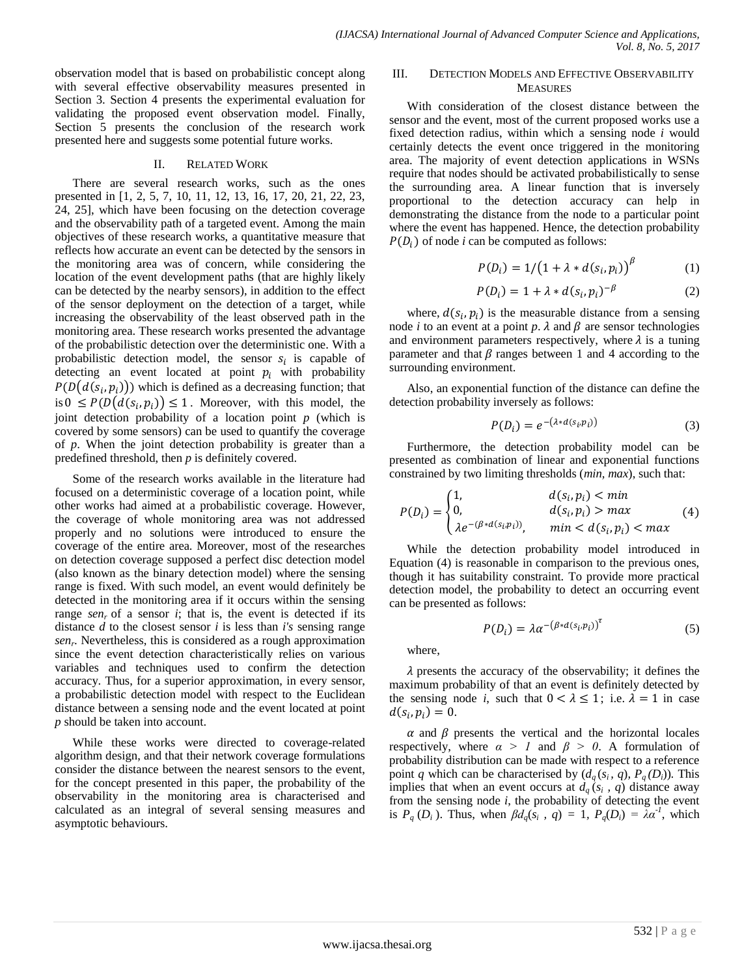observation model that is based on probabilistic concept along with several effective observability measures presented in Section 3. Section 4 presents the experimental evaluation for validating the proposed event observation model. Finally, Section 5 presents the conclusion of the research work presented here and suggests some potential future works.

# II. RELATED WORK

There are several research works, such as the ones presented in [1, 2, 5, 7, 10, 11, 12, 13, 16, 17, 20, 21, 22, 23, 24, 25], which have been focusing on the detection coverage and the observability path of a targeted event. Among the main objectives of these research works, a quantitative measure that reflects how accurate an event can be detected by the sensors in the monitoring area was of concern, while considering the location of the event development paths (that are highly likely can be detected by the nearby sensors), in addition to the effect of the sensor deployment on the detection of a target, while increasing the observability of the least observed path in the monitoring area. These research works presented the advantage of the probabilistic detection over the deterministic one. With a probabilistic detection model, the sensor  $s_i$  is capable of detecting an event located at point  $p_i$  with probability  $P(D(d(s_i, p_i)))$  which is defined as a decreasing function; that is  $0 \leq P(D(d(s_i, p_i)) \leq 1$ . Moreover, with this model, the joint detection probability of a location point *p* (which is covered by some sensors) can be used to quantify the coverage of *p*. When the joint detection probability is greater than a predefined threshold, then *p* is definitely covered.

Some of the research works available in the literature had focused on a deterministic coverage of a location point, while other works had aimed at a probabilistic coverage. However, the coverage of whole monitoring area was not addressed properly and no solutions were introduced to ensure the coverage of the entire area. Moreover, most of the researches on detection coverage supposed a perfect disc detection model (also known as the binary detection model) where the sensing range is fixed. With such model, an event would definitely be detected in the monitoring area if it occurs within the sensing range *senr* of a sensor *i*; that is, the event is detected if its distance *d* to the closest sensor *i* is less than *i's* sensing range *sen<sup>r</sup>* . Nevertheless, this is considered as a rough approximation since the event detection characteristically relies on various variables and techniques used to confirm the detection accuracy. Thus, for a superior approximation, in every sensor, a probabilistic detection model with respect to the Euclidean distance between a sensing node and the event located at point *p* should be taken into account.

While these works were directed to coverage-related algorithm design, and that their network coverage formulations consider the distance between the nearest sensors to the event, for the concept presented in this paper, the probability of the observability in the monitoring area is characterised and calculated as an integral of several sensing measures and asymptotic behaviours.

# III. DETECTION MODELS AND EFFECTIVE OBSERVABILITY **MEASURES**

With consideration of the closest distance between the sensor and the event, most of the current proposed works use a fixed detection radius, within which a sensing node *i* would certainly detects the event once triggered in the monitoring area. The majority of event detection applications in WSNs require that nodes should be activated probabilistically to sense the surrounding area. A linear function that is inversely proportional to the detection accuracy can help in demonstrating the distance from the node to a particular point where the event has happened. Hence, the detection probability  $P(D_i)$  of node *i* can be computed as follows:

$$
P(D_i) = 1/(1 + \lambda * d(s_i, p_i))^{\beta}
$$
 (1)

$$
P(D_i) = 1 + \lambda * d(s_i, p_i)^{-\beta} \tag{2}
$$

where,  $d(s_i, p_i)$  is the measurable distance from a sensing node *i* to an event at a point  $p$ .  $\lambda$  and  $\beta$  are sensor technologies and environment parameters respectively, where  $\lambda$  is a tuning parameter and that  $\beta$  ranges between 1 and 4 according to the surrounding environment.

Also, an exponential function of the distance can define the detection probability inversely as follows:

$$
P(D_i) = e^{-(\lambda * d(s_i, p_i))}
$$
\n(3)

Furthermore, the detection probability model can be presented as combination of linear and exponential functions constrained by two limiting thresholds (*min, max*), such that:

$$
P(D_i) = \begin{cases} 1, & d(s_i, p_i) < min \\ 0, & d(s_i, p_i) > max \\ \lambda e^{-(\beta * d(s_i, p_i))}, & min < d(s_i, p_i) < max \end{cases}
$$
(4)

While the detection probability model introduced in Equation (4) is reasonable in comparison to the previous ones, though it has suitability constraint. To provide more practical detection model, the probability to detect an occurring event can be presented as follows:

$$
P(D_i) = \lambda \alpha^{-(\beta * d(s_i, p_i))}^{T}
$$
 (5)

where,

 $\lambda$  presents the accuracy of the observability; it defines the maximum probability of that an event is definitely detected by the sensing node *i*, such that  $0 < \lambda \le 1$ ; i.e.  $\lambda = 1$  in case  $d(s_i, p_i) = 0.$ 

 $\alpha$  and  $\beta$  presents the vertical and the horizontal locales respectively, where  $\alpha > 1$  and  $\beta > 0$ . A formulation of probability distribution can be made with respect to a reference point *q* which can be characterised by  $(d_q(s_i, q), P_q(D_i))$ . This implies that when an event occurs at  $d_q$  ( $s_i$ , *q*) distance away from the sensing node *i*, the probability of detecting the event is  $P_q(D_i)$ . Thus, when  $\beta d_q(s_i, q) = 1$ ,  $P_q(D_i) = \lambda \alpha^1$ , which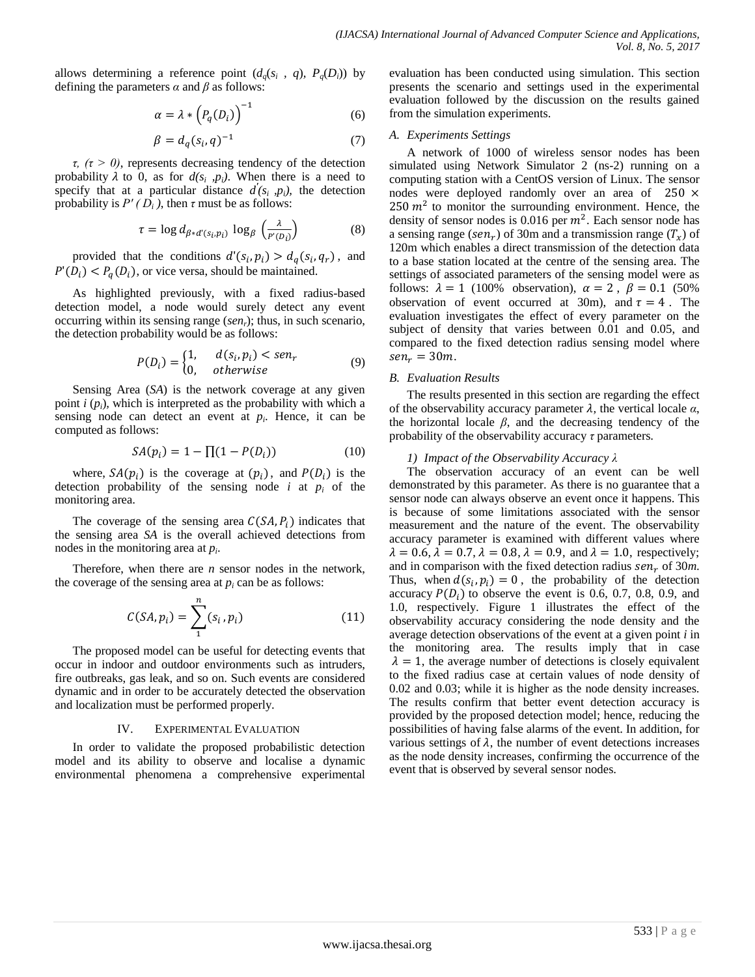allows determining a reference point  $(d_q(s_i, q), P_q(D_i))$  by defining the parameters  $\alpha$  and  $\beta$  as follows:

$$
\alpha = \lambda * \left( P_q(D_i) \right)^{-1} \tag{6}
$$

$$
\beta = d_q(s_i, q)^{-1} \tag{7}
$$

*τ, (τ > 0)*, represents decreasing tendency of the detection probability  $\lambda$  to 0, as for  $d(s_i, p_i)$ . When there is a need to specify that at a particular distance  $d'(s_i, p_i)$ , the detection probability is  $P'(D_i)$ , then  $\tau$  must be as follows:

$$
\tau = \log d_{\beta * d'(s_i, p_i)} \, \log_{\beta} \left( \frac{\lambda}{p'(p_i)} \right) \tag{8}
$$

provided that the conditions  $d'(s_i, p_i) > d_q(s_i, q_r)$ , and  $P'(D_i) < P_a(D_i)$ , or vice versa, should be maintained.

As highlighted previously, with a fixed radius-based detection model, a node would surely detect any event occurring within its sensing range (*senr*); thus, in such scenario, the detection probability would be as follows:

$$
P(D_i) = \begin{cases} 1, & d(s_i, p_i) < sen_r \\ 0, & otherwise \end{cases} \tag{9}
$$

Sensing Area (*SA*) is the network coverage at any given point  $i$  ( $p_i$ ), which is interpreted as the probability with which a sensing node can detect an event at  $p_i$ . Hence, it can be computed as follows:

$$
SA(p_i) = 1 - \prod (1 - P(D_i))
$$
 (10)

where,  $SA(p_i)$  is the coverage at  $(p_i)$ , and  $P(D_i)$  is the detection probability of the sensing node  $i$  at  $p_i$  of the monitoring area.

The coverage of the sensing area  $C(SA, P_i)$  indicates that the sensing area *SA* is the overall achieved detections from nodes in the monitoring area at *p<sup>i</sup>* .

Therefore, when there are *n* sensor nodes in the network, the coverage of the sensing area at  $p_i$  can be as follows:

$$
C(SA, p_i) = \sum_{1}^{n} (s_i, p_i)
$$
 (11)

The proposed model can be useful for detecting events that occur in indoor and outdoor environments such as intruders, fire outbreaks, gas leak, and so on. Such events are considered dynamic and in order to be accurately detected the observation and localization must be performed properly.

#### IV. EXPERIMENTAL EVALUATION

In order to validate the proposed probabilistic detection model and its ability to observe and localise a dynamic environmental phenomena a comprehensive experimental evaluation has been conducted using simulation. This section presents the scenario and settings used in the experimental evaluation followed by the discussion on the results gained from the simulation experiments.

#### *A. Experiments Settings*

A network of 1000 of wireless sensor nodes has been simulated using Network Simulator 2 (ns-2) running on a computing station with a CentOS version of Linux. The sensor nodes were deployed randomly over an area of  $250 \times$ 250  $m<sup>2</sup>$  to monitor the surrounding environment. Hence, the density of sensor nodes is 0.016 per  $m^2$ . Each sensor node has a sensing range (sen<sub>r</sub>) of 30m and a transmission range ( $T_x$ ) of 120m which enables a direct transmission of the detection data to a base station located at the centre of the sensing area. The settings of associated parameters of the sensing model were as follows:  $\lambda = 1$  (100% observation),  $\alpha = 2$ ,  $\beta = 0.1$  (50%) observation of event occurred at 30m), and  $\tau = 4$ . The evaluation investigates the effect of every parameter on the subject of density that varies between 0.01 and 0.05, and compared to the fixed detection radius sensing model where  $sen_r = 30m$ .

### *B. Evaluation Results*

The results presented in this section are regarding the effect of the observability accuracy parameter  $\lambda$ , the vertical locale  $\alpha$ , the horizontal locale  $\beta$ , and the decreasing tendency of the probability of the observability accuracy *τ* parameters.

#### *1) Impact of the Observability Accuracy λ*

The observation accuracy of an event can be well demonstrated by this parameter. As there is no guarantee that a sensor node can always observe an event once it happens. This is because of some limitations associated with the sensor measurement and the nature of the event. The observability accuracy parameter is examined with different values where  $\lambda = 0.6$ ,  $\lambda = 0.7$ ,  $\lambda = 0.8$ ,  $\lambda = 0.9$ , and  $\lambda = 1.0$ , respectively; and in comparison with the fixed detection radius  $sen<sub>r</sub>$  of 30*m*. Thus, when  $d(s_i, p_i) = 0$ , the probability of the detection accuracy  $P(D_i)$  to observe the event is 0.6, 0.7, 0.8, 0.9, and 1.0, respectively. Figure 1 illustrates the effect of the observability accuracy considering the node density and the average detection observations of the event at a given point *i* in the monitoring area. The results imply that in case  $\lambda = 1$ , the average number of detections is closely equivalent to the fixed radius case at certain values of node density of 0.02 and 0.03; while it is higher as the node density increases. The results confirm that better event detection accuracy is provided by the proposed detection model; hence, reducing the possibilities of having false alarms of the event. In addition, for various settings of  $\lambda$ , the number of event detections increases as the node density increases, confirming the occurrence of the event that is observed by several sensor nodes.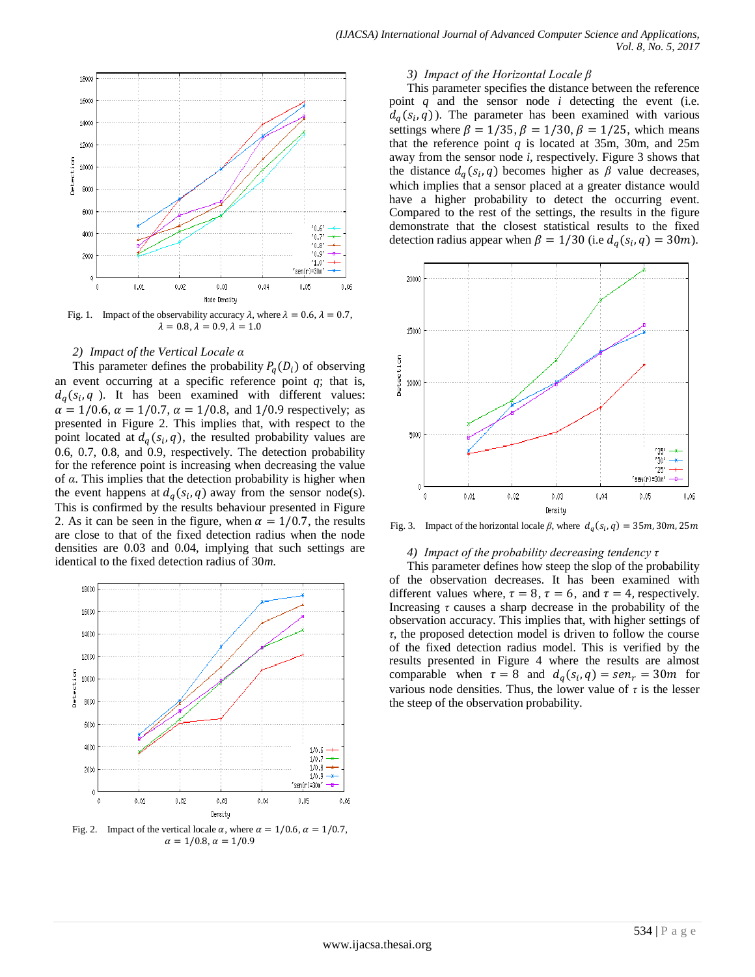

Fig. 1. Impact of the observability accuracy  $\lambda$ , where  $\lambda = 0.6$ ,  $\lambda = 0.7$ ,  $\lambda = 0.8, \lambda = 0.9, \lambda = 1.0$ 

## *2) Impact of the Vertical Locale α*

This parameter defines the probability  $P_a(D_i)$  of observing an event occurring at a specific reference point  $q$ ; that is,  $d_q(s_i, q)$ . It has been examined with different values:  $\alpha = 1/0.6$ ,  $\alpha = 1/0.7$ ,  $\alpha = 1/0.8$ , and 1/0.9 respectively; as presented in Figure 2. This implies that, with respect to the point located at  $d_q(s_i, q)$ , the resulted probability values are 0.6, 0.7, 0.8, and 0.9, respectively. The detection probability for the reference point is increasing when decreasing the value of *α*. This implies that the detection probability is higher when the event happens at  $d_q(s_i, q)$  away from the sensor node(s). This is confirmed by the results behaviour presented in Figure 2. As it can be seen in the figure, when  $\alpha = 1/0.7$ , the results are close to that of the fixed detection radius when the node densities are 0.03 and 0.04, implying that such settings are identical to the fixed detection radius of 30*m*.



 $\alpha = 1/0.8, \alpha = 1/0.9$ 

#### *3) Impact of the Horizontal Locale β*

This parameter specifies the distance between the reference point *q* and the sensor node *i* detecting the event (i.e.  $d_q(s_i, q)$ ). The parameter has been examined with various settings where  $\beta = 1/35$ ,  $\beta = 1/30$ ,  $\beta = 1/25$ , which means that the reference point  $q$  is located at 35m, 30m, and 25m away from the sensor node *i,* respectively. Figure 3 shows that the distance  $d_q(s_i, q)$  becomes higher as  $\beta$  value decreases, which implies that a sensor placed at a greater distance would have a higher probability to detect the occurring event. Compared to the rest of the settings, the results in the figure demonstrate that the closest statistical results to the fixed detection radius appear when  $\beta = 1/30$  (i.e  $d_a(s_i, q) = 30m$ ).



Fig. 3. Impact of the horizontal locale  $\beta$ , where  $d_a(s_i)$ ,

#### *4) Impact of the probability decreasing tendency τ*

This parameter defines how steep the slop of the probability of the observation decreases. It has been examined with different values where,  $\tau = 8$ ,  $\tau = 6$ , and  $\tau = 4$ , respectively. Increasing *τ* causes a sharp decrease in the probability of the observation accuracy. This implies that, with higher settings of *τ*, the proposed detection model is driven to follow the course of the fixed detection radius model. This is verified by the results presented in Figure 4 where the results are almost comparable when  $\tau = 8$  and  $d_a(s_i, q) = \text{sen}_r = 30m$  for various node densities. Thus, the lower value of  $\tau$  is the lesser the steep of the observation probability.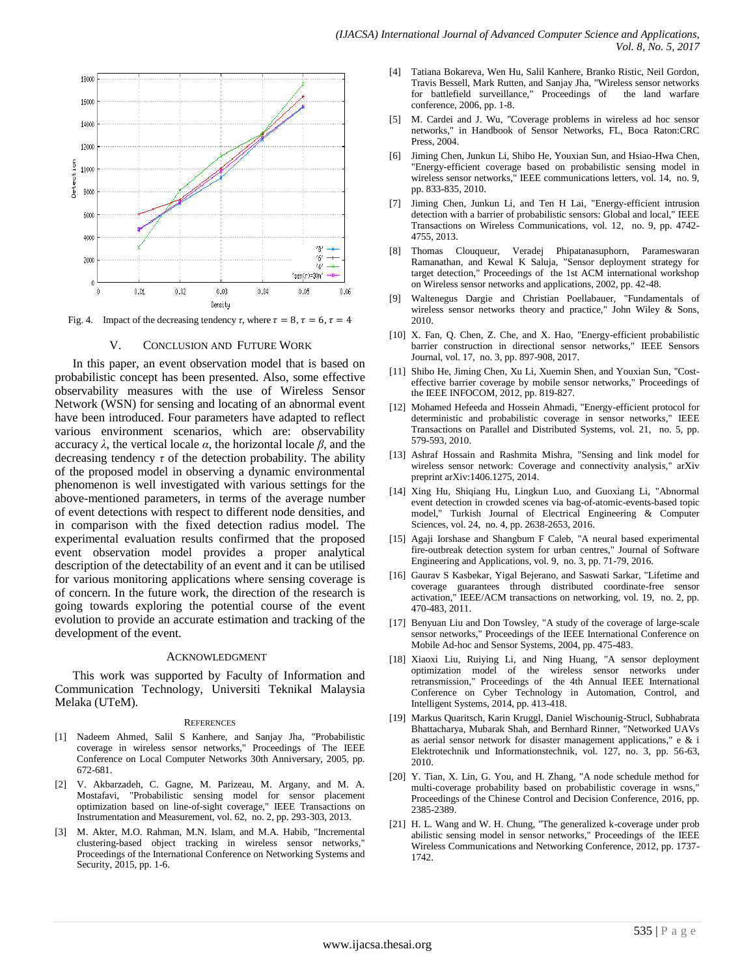

Fig. 4. Impact of the decreasing tendency  $\tau$ , where  $\tau = 8$ ,  $\tau = 6$ ,  $\tau = 4$ 

## V. CONCLUSION AND FUTURE WORK

In this paper, an event observation model that is based on probabilistic concept has been presented. Also, some effective observability measures with the use of Wireless Sensor Network (WSN) for sensing and locating of an abnormal event have been introduced. Four parameters have adapted to reflect various environment scenarios, which are: observability accuracy *λ*, the vertical locale *α*, the horizontal locale *β*, and the decreasing tendency *τ* of the detection probability. The ability of the proposed model in observing a dynamic environmental phenomenon is well investigated with various settings for the above-mentioned parameters, in terms of the average number of event detections with respect to different node densities, and in comparison with the fixed detection radius model. The experimental evaluation results confirmed that the proposed event observation model provides a proper analytical description of the detectability of an event and it can be utilised for various monitoring applications where sensing coverage is of concern. In the future work, the direction of the research is going towards exploring the potential course of the event evolution to provide an accurate estimation and tracking of the development of the event.

#### ACKNOWLEDGMENT

This work was supported by Faculty of Information and Communication Technology, Universiti Teknikal Malaysia Melaka (UTeM).

#### **REFERENCES**

- [1] Nadeem Ahmed, Salil S Kanhere, and Sanjay Jha, "Probabilistic coverage in wireless sensor networks," Proceedings of The IEEE Conference on Local Computer Networks 30th Anniversary, 2005, pp. 672-681.
- [2] V. Akbarzadeh, C. Gagne, M. Parizeau, M. Argany, and M. A. Mostafavi, "Probabilistic sensing model for sensor placement optimization based on line-of-sight coverage," IEEE Transactions on Instrumentation and Measurement, vol. 62, no. 2, pp. 293-303, 2013.
- [3] M. Akter, M.O. Rahman, M.N. Islam, and M.A. Habib, "Incremental clustering-based object tracking in wireless sensor networks," Proceedings of the International Conference on Networking Systems and Security, 2015, pp. 1-6.
- [4] Tatiana Bokareva, Wen Hu, Salil Kanhere, Branko Ristic, Neil Gordon, Travis Bessell, Mark Rutten, and Sanjay Jha, "Wireless sensor networks for battlefield surveillance," Proceedings of the land warfare conference, 2006, pp. 1-8.
- [5] M. Cardei and J. Wu, "Coverage problems in wireless ad hoc sensor networks," in Handbook of Sensor Networks, FL, Boca Raton:CRC Press, 2004.
- [6] Jiming Chen, Junkun Li, Shibo He, Youxian Sun, and Hsiao-Hwa Chen, "Energy-efficient coverage based on probabilistic sensing model in wireless sensor networks," IEEE communications letters, vol. 14, no. 9, pp. 833-835, 2010.
- [7] Jiming Chen, Junkun Li, and Ten H Lai, "Energy-efficient intrusion detection with a barrier of probabilistic sensors: Global and local," IEEE Transactions on Wireless Communications, vol. 12, no. 9, pp. 4742- 4755, 2013.
- [8] Thomas Clouqueur, Veradej Phipatanasuphorn, Parameswaran Ramanathan, and Kewal K Saluja, "Sensor deployment strategy for target detection," Proceedings of the 1st ACM international workshop on Wireless sensor networks and applications, 2002, pp. 42-48.
- Waltenegus Dargie and Christian Poellabauer, "Fundamentals of wireless sensor networks theory and practice," John Wiley & Sons, 2010.
- [10] X. Fan, Q. Chen, Z. Che, and X. Hao, "Energy-efficient probabilistic barrier construction in directional sensor networks," IEEE Sensors Journal, vol. 17, no. 3, pp. 897-908, 2017.
- [11] Shibo He, Jiming Chen, Xu Li, Xuemin Shen, and Youxian Sun, "Costeffective barrier coverage by mobile sensor networks," Proceedings of the IEEE INFOCOM, 2012, pp. 819-827.
- [12] Mohamed Hefeeda and Hossein Ahmadi, "Energy-efficient protocol for deterministic and probabilistic coverage in sensor networks," IEEE Transactions on Parallel and Distributed Systems, vol. 21, no. 5, pp. 579-593, 2010.
- [13] Ashraf Hossain and Rashmita Mishra, "Sensing and link model for wireless sensor network: Coverage and connectivity analysis," arXiv preprint arXiv:1406.1275, 2014.
- [14] Xing Hu, Shiqiang Hu, Lingkun Luo, and Guoxiang Li, "Abnormal event detection in crowded scenes via bag-of-atomic-events-based topic model," Turkish Journal of Electrical Engineering & Computer Sciences, vol. 24, no. 4, pp. 2638-2653, 2016.
- [15] Agaji Iorshase and Shangbum F Caleb, "A neural based experimental fire-outbreak detection system for urban centres," Journal of Software Engineering and Applications, vol. 9, no. 3, pp. 71-79, 2016.
- [16] Gaurav S Kasbekar, Yigal Bejerano, and Saswati Sarkar, "Lifetime and coverage guarantees through distributed coordinate-free sensor activation," IEEE/ACM transactions on networking, vol. 19, no. 2, pp. 470-483, 2011.
- [17] Benyuan Liu and Don Towsley, "A study of the coverage of large-scale sensor networks," Proceedings of the IEEE International Conference on Mobile Ad-hoc and Sensor Systems, 2004, pp. 475-483.
- [18] Xiaoxi Liu, Ruiying Li, and Ning Huang, "A sensor deployment optimization model of the wireless sensor networks under retransmission," Proceedings of the 4th Annual IEEE International Conference on Cyber Technology in Automation, Control, and Intelligent Systems, 2014, pp. 413-418.
- [19] Markus Quaritsch, Karin Kruggl, Daniel Wischounig-Strucl, Subhabrata Bhattacharya, Mubarak Shah, and Bernhard Rinner, "Networked UAVs as aerial sensor network for disaster management applications," e & i Elektrotechnik und Informationstechnik, vol. 127, no. 3, pp. 56-63, 2010.
- [20] Y. Tian, X. Lin, G. You, and H. Zhang, "A node schedule method for multi-coverage probability based on probabilistic coverage in wsns," Proceedings of the Chinese Control and Decision Conference, 2016, pp. 2385-2389.
- [21] H. L. Wang and W. H. Chung, "The generalized k-coverage under prob abilistic sensing model in sensor networks," Proceedings of the IEEE Wireless Communications and Networking Conference, 2012, pp. 1737- 1742.